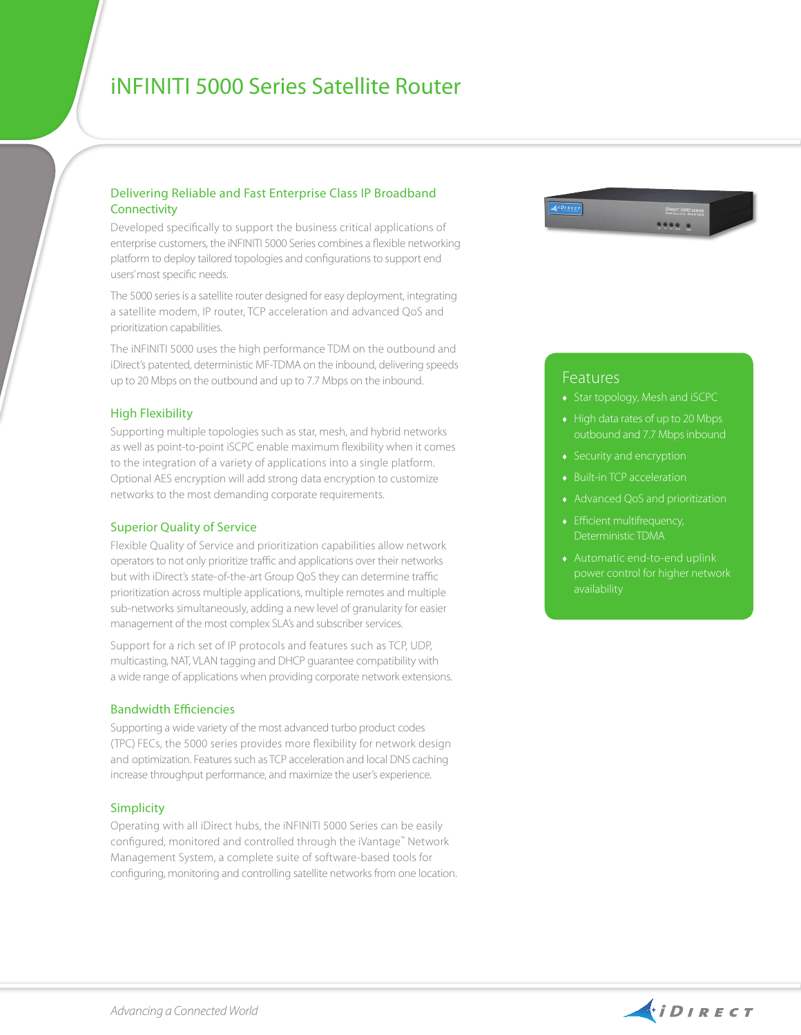# iNfiniti 5000 Series Satellite Router

### Delivering Reliable and Fast Enterprise Class IP Broadband **Connectivity**

Developed specifically to support the business critical applications of enterprise customers, the iNFINITI 5000 Series combines a flexible networking platform to deploy tailored topologies and configurations to support end users' most specific needs.

The 5000 series is a satellite router designed for easy deployment, integrating a satellite modem, IP router, TCP acceleration and advanced QoS and prioritization capabilities.

The iNFINITI 5000 uses the high performance TDM on the outbound and iDirect's patented, deterministic MF-TDMA on the inbound, delivering speeds up to 20 Mbps on the outbound and up to 7.7 Mbps on the inbound.

#### High Flexibility

Supporting multiple topologies such as star, mesh, and hybrid networks as well as point-to-point iSCPC enable maximum flexibility when it comes to the integration of a variety of applications into a single platform. Optional AES encryption will add strong data encryption to customize networks to the most demanding corporate requirements.

#### Superior Quality of Service

Flexible Quality of Service and prioritization capabilities allow network operators to not only prioritize traffic and applications over their networks but with iDirect's state-of-the-art Group QoS they can determine traffic prioritization across multiple applications, multiple remotes and multiple sub-networks simultaneously, adding a new level of granularity for easier management of the most complex SLA's and subscriber services.

Support for a rich set of IP protocols and features such as TCP, UDP, multicasting, NAT, VLAN tagging and DHCP guarantee compatibility with a wide range of applications when providing corporate network extensions.

#### Bandwidth Efficiencies

Supporting a wide variety of the most advanced turbo product codes (TPC) FECs, the 5000 series provides more flexibility for network design and optimization. Features such as TCP acceleration and local DNS caching increase throughput performance, and maximize the user's experience.

#### Simplicity

Operating with all iDirect hubs, the iNFINITI 5000 Series can be easily configured, monitored and controlled through the iVantage™ Network Management System, a complete suite of software-based tools for configuring, monitoring and controlling satellite networks from one location.



## Features

- ♦ Star topology, Mesh and iSCPC
- $\leftrightarrow$  High data rates of up to 20 Mbps outbound and 7.7 Mbps inbound
- ♦ Security and encryption
- ♦ Built-in TCP acceleration
- ♦ Advanced QoS and prioritization
- ♦ Efficient multifrequency, Deterministic TDMA
-